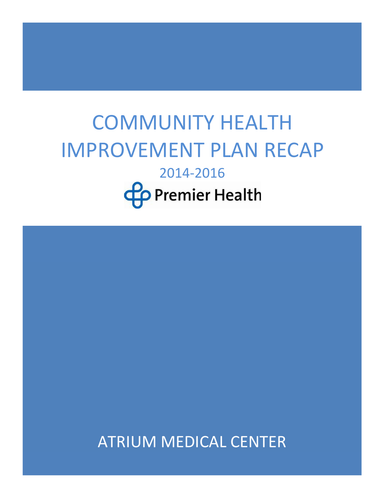# COMMUNITY HEALTH IMPROVEMENT PLAN RECAP 2014-2016 **Co** Premier Health

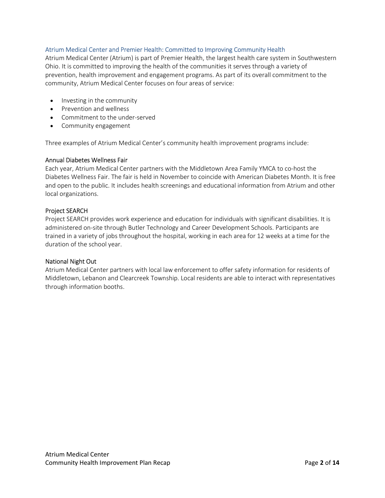## Atrium Medical Center and Premier Health: Committed to Improving Community Health

Atrium Medical Center (Atrium) is part of Premier Health, the largest health care system in Southwestern Ohio. It is committed to improving the health of the communities it serves through a variety of prevention, health improvement and engagement programs. As part of its overall commitment to the community, Atrium Medical Center focuses on four areas of service:

- Investing in the community
- Prevention and wellness
- Commitment to the under-served
- Community engagement

Three examples of Atrium Medical Center's community health improvement programs include:

### Annual Diabetes Wellness Fair

Each year, Atrium Medical Center partners with the Middletown Area Family YMCA to co-host the Diabetes Wellness Fair. The fair is held in November to coincide with American Diabetes Month. It is free and open to the public. It includes health screenings and educational information from Atrium and other local organizations.

## Project SEARCH

Project SEARCH provides work experience and education for individuals with significant disabilities. It is administered on-site through Butler Technology and Career Development Schools. Participants are trained in a variety of jobs throughout the hospital, working in each area for 12 weeks at a time for the duration of the school year.

## National Night Out

Atrium Medical Center partners with local law enforcement to offer safety information for residents of Middletown, Lebanon and Clearcreek Township. Local residents are able to interact with representatives through information booths.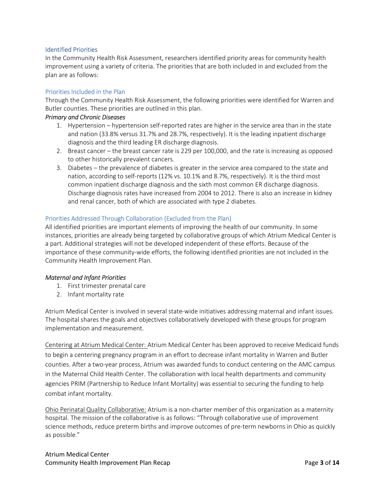## Identified Priorities

In the Community Health Risk Assessment, researchers identified priority areas for community health improvement using a variety of criteria. The priorities that are both included in and excluded from the plan are as follows:

## Priorities Included in the Plan

Through the Community Health Risk Assessment, the following priorities were identified for Warren and Butler counties. These priorities are outlined in this plan.

## Primary and Chronic Diseases

- 1. Hypertension hypertension self-reported rates are higher in the service area than in the state and nation (33.8% versus 31.7% and 28.7%, respectively). It is the leading inpatient discharge diagnosis and the third leading ER discharge diagnosis.
- 2. Breast cancer the breast cancer rate is 229 per 100,000, and the rate is increasing as opposed to other historically prevalent cancers.
- 3. Diabetes the prevalence of diabetes is greater in the service area compared to the state and nation, according to self-reports (12% vs. 10.1% and 8.7%, respectively). It is the third most common inpatient discharge diagnosis and the sixth most common ER discharge diagnosis. Discharge diagnosis rates have increased from 2004 to 2012. There is also an increase in kidney and renal cancer, both of which are associated with type 2 diabetes.

## Priorities Addressed Through Collaboration (Excluded from the Plan)

All identified priorities are important elements of improving the health of our community. In some instances, priorities are already being targeted by collaborative groups of which Atrium Medical Center is a part. Additional strategies will not be developed independent of these efforts. Because of the importance of these community-wide efforts, the following identified priorities are not included in the Community Health Improvement Plan.

## Maternal and Infant Priorities

- 1. First trimester prenatal care
- 2. Infant mortality rate

Atrium Medical Center is involved in several state-wide initiatives addressing maternal and infant issues. The hospital shares the goals and objectives collaboratively developed with these groups for program implementation and measurement.

Centering at Atrium Medical Center: Atrium Medical Center has been approved to receive Medicaid funds to begin a centering pregnancy program in an effort to decrease infant mortality in Warren and Butler counties. After a two-year process, Atrium was awarded funds to conduct centering on the AMC campus in the Maternal Child Health Center. The collaboration with local health departments and community agencies PRIM (Partnership to Reduce Infant Mortality) was essential to securing the funding to help combat infant mortality.

Ohio Perinatal Quality Collaborative: Atrium is a non-charter member of this organization as a maternity hospital. The mission of the collaborative is as follows: "Through collaborative use of improvement science methods, reduce preterm births and improve outcomes of pre-term newborns in Ohio as quickly as possible."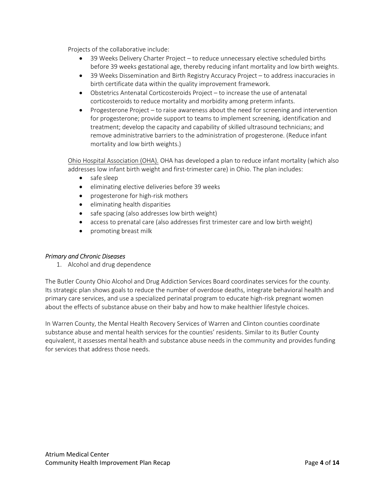Projects of the collaborative include:

- 39 Weeks Delivery Charter Project to reduce unnecessary elective scheduled births before 39 weeks gestational age, thereby reducing infant mortality and low birth weights.
- 39 Weeks Dissemination and Birth Registry Accuracy Project to address inaccuracies in birth certificate data within the quality improvement framework.
- Obstetrics Antenatal Corticosteroids Project to increase the use of antenatal corticosteroids to reduce mortality and morbidity among preterm infants.
- Progesterone Project to raise awareness about the need for screening and intervention for progesterone; provide support to teams to implement screening, identification and treatment; develop the capacity and capability of skilled ultrasound technicians; and remove administrative barriers to the administration of progesterone. (Reduce infant mortality and low birth weights.)

Ohio Hospital Association (OHA). OHA has developed a plan to reduce infant mortality (which also addresses low infant birth weight and first-trimester care) in Ohio. The plan includes:

- safe sleep
- eliminating elective deliveries before 39 weeks
- progesterone for high-risk mothers
- eliminating health disparities
- safe spacing (also addresses low birth weight)
- access to prenatal care (also addresses first trimester care and low birth weight)
- promoting breast milk

## Primary and Chronic Diseases

1. Alcohol and drug dependence

The Butler County Ohio Alcohol and Drug Addiction Services Board coordinates services for the county. Its strategic plan shows goals to reduce the number of overdose deaths, integrate behavioral health and primary care services, and use a specialized perinatal program to educate high-risk pregnant women about the effects of substance abuse on their baby and how to make healthier lifestyle choices.

In Warren County, the Mental Health Recovery Services of Warren and Clinton counties coordinate substance abuse and mental health services for the counties' residents. Similar to its Butler County equivalent, it assesses mental health and substance abuse needs in the community and provides funding for services that address those needs.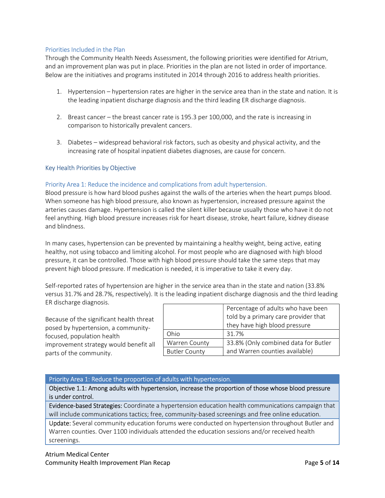## Priorities Included in the Plan

Through the Community Health Needs Assessment, the following priorities were identified for Atrium, and an improvement plan was put in place. Priorities in the plan are not listed in order of importance. Below are the initiatives and programs instituted in 2014 through 2016 to address health priorities.

- 1. Hypertension hypertension rates are higher in the service area than in the state and nation. It is the leading inpatient discharge diagnosis and the third leading ER discharge diagnosis.
- 2. Breast cancer the breast cancer rate is 195.3 per 100,000, and the rate is increasing in comparison to historically prevalent cancers.
- 3. Diabetes widespread behavioral risk factors, such as obesity and physical activity, and the increasing rate of hospital inpatient diabetes diagnoses, are cause for concern.

### Key Health Priorities by Objective

### Priority Area 1: Reduce the incidence and complications from adult hypertension.

Blood pressure is how hard blood pushes against the walls of the arteries when the heart pumps blood. When someone has high blood pressure, also known as hypertension, increased pressure against the arteries causes damage. Hypertension is called the silent killer because usually those who have it do not feel anything. High blood pressure increases risk for heart disease, stroke, heart failure, kidney disease and blindness.

In many cases, hypertension can be prevented by maintaining a healthy weight, being active, eating healthy, not using tobacco and limiting alcohol. For most people who are diagnosed with high blood pressure, it can be controlled. Those with high blood pressure should take the same steps that may prevent high blood pressure. If medication is needed, it is imperative to take it every day.

Self-reported rates of hypertension are higher in the service area than in the state and nation (33.8% versus 31.7% and 28.7%, respectively). It is the leading inpatient discharge diagnosis and the third leading ER discharge diagnosis.

Because of the significant health threat posed by hypertension, a communityfocused, population health improvement strategy would benefit all parts of the community.

|                      | Percentage of adults who have been   |  |  |
|----------------------|--------------------------------------|--|--|
|                      | told by a primary care provider that |  |  |
|                      | they have high blood pressure        |  |  |
| Ohio                 | 31.7%                                |  |  |
| Warren County        | 33.8% (Only combined data for Butler |  |  |
| <b>Butler County</b> | and Warren counties available)       |  |  |

#### Priority Area 1: Reduce the proportion of adults with hypertension.

Objective 1.1: Among adults with hypertension, increase the proportion of those whose blood pressure is under control.

Evidence-based Strategies: Coordinate a hypertension education health communications campaign that will include communications tactics; free, community-based screenings and free online education.

Update: Several community education forums were conducted on hypertension throughout Butler and Warren counties. Over 1100 individuals attended the education sessions and/or received health screenings.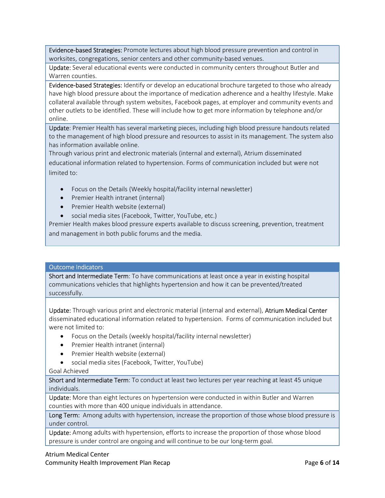Evidence-based Strategies: Promote lectures about high blood pressure prevention and control in worksites, congregations, senior centers and other community-based venues.

Update: Several educational events were conducted in community centers throughout Butler and Warren counties.

Evidence-based Strategies: Identify or develop an educational brochure targeted to those who already have high blood pressure about the importance of medication adherence and a healthy lifestyle. Make collateral available through system websites, Facebook pages, at employer and community events and other outlets to be identified. These will include how to get more information by telephone and/or online.

Update: Premier Health has several marketing pieces, including high blood pressure handouts related to the management of high blood pressure and resources to assist in its management. The system also has information available online.

Through various print and electronic materials (internal and external), Atrium disseminated educational information related to hypertension. Forms of communication included but were not limited to:

- Focus on the Details (Weekly hospital/facility internal newsletter)
- Premier Health intranet (internal)
- Premier Health website (external)
- social media sites (Facebook, Twitter, YouTube, etc.)

Premier Health makes blood pressure experts available to discuss screening, prevention, treatment and management in both public forums and the media.

#### Outcome Indicators

Short and Intermediate Term: To have communications at least once a year in existing hospital communications vehicles that highlights hypertension and how it can be prevented/treated successfully.

Update: Through various print and electronic material (internal and external), Atrium Medical Center disseminated educational information related to hypertension. Forms of communication included but were not limited to:

- Focus on the Details (weekly hospital/facility internal newsletter)
- Premier Health intranet (internal)
- Premier Health website (external)
- social media sites (Facebook, Twitter, YouTube)

#### Goal Achieved

Short and Intermediate Term: To conduct at least two lectures per year reaching at least 45 unique individuals.

Update: More than eight lectures on hypertension were conducted in within Butler and Warren counties with more than 400 unique individuals in attendance.

Long Term: Among adults with hypertension, increase the proportion of those whose blood pressure is under control.

Update: Among adults with hypertension, efforts to increase the proportion of those whose blood pressure is under control are ongoing and will continue to be our long-term goal.

## Atrium Medical Center

Community Health Improvement Plan Recap **Page 6 of 14** Page 6 of 14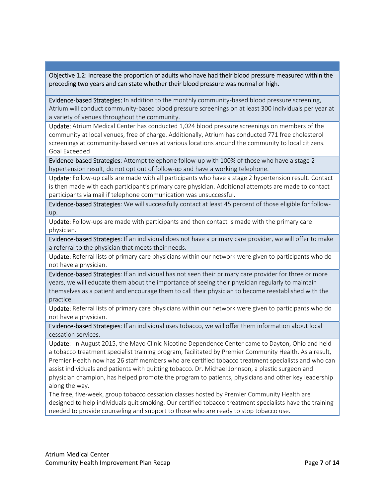Objective 1.2: Increase the proportion of adults who have had their blood pressure measured within the preceding two years and can state whether their blood pressure was normal or high.

Evidence-based Strategies: In addition to the monthly community-based blood pressure screening, Atrium will conduct community-based blood pressure screenings on at least 300 individuals per year at a variety of venues throughout the community.

Update: Atrium Medical Center has conducted 1,024 blood pressure screenings on members of the community at local venues, free of charge. Additionally, Atrium has conducted 771 free cholesterol screenings at community-based venues at various locations around the community to local citizens. Goal Exceeded

Evidence-based Strategies: Attempt telephone follow-up with 100% of those who have a stage 2 hypertension result, do not opt out of follow-up and have a working telephone.

Update: Follow-up calls are made with all participants who have a stage 2 hypertension result. Contact is then made with each participant's primary care physician. Additional attempts are made to contact participants via mail if telephone communication was unsuccessful.

Evidence-based Strategies: We will successfully contact at least 45 percent of those eligible for followup.

Update: Follow-ups are made with participants and then contact is made with the primary care physician.

Evidence-based Strategies: If an individual does not have a primary care provider, we will offer to make a referral to the physician that meets their needs.

Update: Referral lists of primary care physicians within our network were given to participants who do not have a physician.

Evidence-based Strategies: If an individual has not seen their primary care provider for three or more years, we will educate them about the importance of seeing their physician regularly to maintain themselves as a patient and encourage them to call their physician to become reestablished with the practice.

Update: Referral lists of primary care physicians within our network were given to participants who do not have a physician.

Evidence-based Strategies: If an individual uses tobacco, we will offer them information about local cessation services.

Update: In August 2015, the Mayo Clinic Nicotine Dependence Center came to Dayton, Ohio and held a tobacco treatment specialist training program, facilitated by Premier Community Health. As a result, Premier Health now has 26 staff members who are certified tobacco treatment specialists and who can assist individuals and patients with quitting tobacco. Dr. Michael Johnson, a plastic surgeon and physician champion, has helped promote the program to patients, physicians and other key leadership along the way.

The free, five-week, group tobacco cessation classes hosted by Premier Community Health are designed to help individuals quit smoking. Our certified tobacco treatment specialists have the training needed to provide counseling and support to those who are ready to stop tobacco use.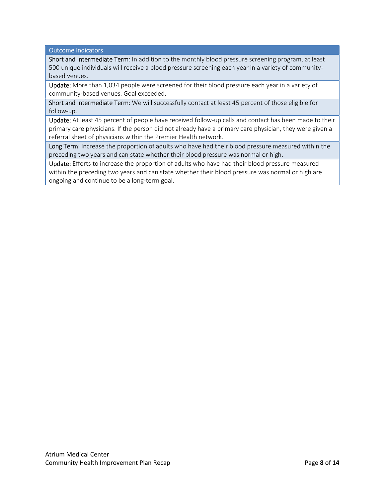Outcome Indicators

Short and Intermediate Term: In addition to the monthly blood pressure screening program, at least 500 unique individuals will receive a blood pressure screening each year in a variety of communitybased venues.

Update: More than 1,034 people were screened for their blood pressure each year in a variety of community-based venues. Goal exceeded.

Short and Intermediate Term: We will successfully contact at least 45 percent of those eligible for follow-up.

Update: At least 45 percent of people have received follow-up calls and contact has been made to their primary care physicians. If the person did not already have a primary care physician, they were given a referral sheet of physicians within the Premier Health network.

Long Term: Increase the proportion of adults who have had their blood pressure measured within the preceding two years and can state whether their blood pressure was normal or high.

Update: Efforts to increase the proportion of adults who have had their blood pressure measured within the preceding two years and can state whether their blood pressure was normal or high are ongoing and continue to be a long-term goal.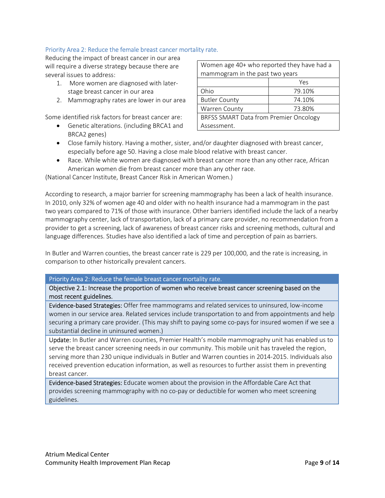## Priority Area 2: Reduce the female breast cancer mortality rate.

Reducing the impact of breast cancer in our area will require a diverse strategy because there are several issues to address:

- 1. More women are diagnosed with laterstage breast cancer in our area
- 2. Mammography rates are lower in our area

Some identified risk factors for breast cancer are:

 Genetic alterations. (including BRCA1 and BRCA2 genes)

| Women age 40+ who reported they have had a |        |  |  |  |
|--------------------------------------------|--------|--|--|--|
| mammogram in the past two years            |        |  |  |  |
|                                            | Yes    |  |  |  |
| Ohio                                       | 79.10% |  |  |  |
| <b>Butler County</b>                       | 74.10% |  |  |  |
| Warren County                              | 73.80% |  |  |  |
| BRFSS SMART Data from Premier Oncology     |        |  |  |  |
| Assessment.                                |        |  |  |  |

- Close family history. Having a mother, sister, and/or daughter diagnosed with breast cancer, especially before age 50. Having a close male blood relative with breast cancer.
- Race. While white women are diagnosed with breast cancer more than any other race, African American women die from breast cancer more than any other race.

(National Cancer Institute, Breast Cancer Risk in American Women.)

According to research, a major barrier for screening mammography has been a lack of health insurance. In 2010, only 32% of women age 40 and older with no health insurance had a mammogram in the past two years compared to 71% of those with insurance. Other barriers identified include the lack of a nearby mammography center, lack of transportation, lack of a primary care provider, no recommendation from a provider to get a screening, lack of awareness of breast cancer risks and screening methods, cultural and language differences. Studies have also identified a lack of time and perception of pain as barriers.

In Butler and Warren counties, the breast cancer rate is 229 per 100,000, and the rate is increasing, in comparison to other historically prevalent cancers.

#### Priority Area 2: Reduce the female breast cancer mortality rate.

Objective 2.1: Increase the proportion of women who receive breast cancer screening based on the most recent guidelines.

Evidence-based Strategies: Offer free mammograms and related services to uninsured, low-income women in our service area. Related services include transportation to and from appointments and help securing a primary care provider. (This may shift to paying some co-pays for insured women if we see a substantial decline in uninsured women.)

Update: In Butler and Warren counties, Premier Health's mobile mammography unit has enabled us to serve the breast cancer screening needs in our community. This mobile unit has traveled the region, serving more than 230 unique individuals in Butler and Warren counties in 2014-2015. Individuals also received prevention education information, as well as resources to further assist them in preventing breast cancer.

Evidence-based Strategies: Educate women about the provision in the Affordable Care Act that provides screening mammography with no co-pay or deductible for women who meet screening guidelines.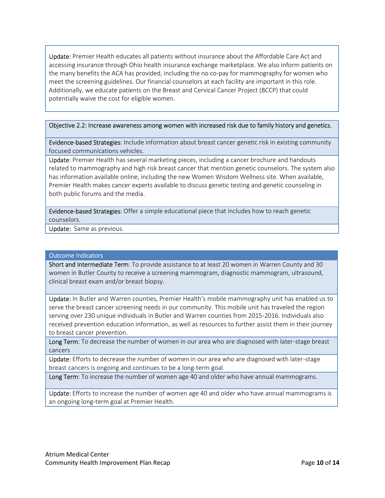Update: Premier Health educates all patients without insurance about the Affordable Care Act and accessing insurance through Ohio health insurance exchange marketplace. We also inform patients on the many benefits the ACA has provided, including the no co-pay for mammography for women who meet the screening guidelines. Our financial counselors at each facility are important in this role. Additionally, we educate patients on the Breast and Cervical Cancer Project (BCCP) that could potentially waive the cost for eligible women.

#### Objective 2.2: Increase awareness among women with increased risk due to family history and genetics.

Evidence-based Strategies: Include information about breast cancer genetic risk in existing community focused communications vehicles.

Update: Premier Health has several marketing pieces, including a cancer brochure and handouts related to mammography and high risk breast cancer that mention genetic counselors. The system also has information available online, including the new Women Wisdom Wellness site. When available, Premier Health makes cancer experts available to discuss genetic testing and genetic counseling in both public forums and the media.

Evidence-based Strategies: Offer a simple educational piece that includes how to reach genetic counselors.

Update: Same as previous.

## Outcome Indicators

Short and Intermediate Term: To provide assistance to at least 20 women in Warren County and 30 women in Butler County to receive a screening mammogram, diagnostic mammogram, ultrasound, clinical breast exam and/or breast biopsy.

Update: In Butler and Warren counties, Premier Health's mobile mammography unit has enabled us to serve the breast cancer screening needs in our community. This mobile unit has traveled the region serving over 230 unique individuals in Butler and Warren counties from 2015-2016. Individuals also received prevention education information, as well as resources to further assist them in their journey to breast cancer prevention.

Long Term: To decrease the number of women in our area who are diagnosed with later-stage breast cancers

Update: Efforts to decrease the number of women in our area who are diagnosed with later-stage breast cancers is ongoing and continues to be a long-term goal.

Long Term: To increase the number of women age 40 and older who have annual mammograms.

Update: Efforts to increase the number of women age 40 and older who have annual mammograms is an ongoing long-term goal at Premier Health.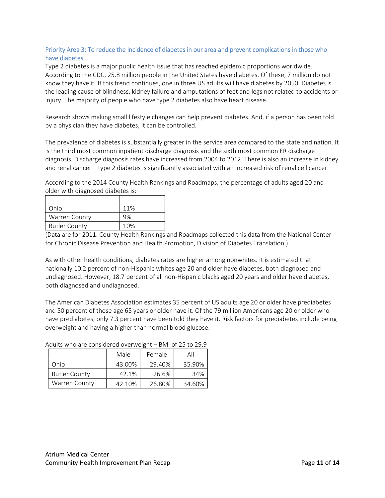## Priority Area 3: To reduce the incidence of diabetes in our area and prevent complications in those who have diabetes.

Type 2 diabetes is a major public health issue that has reached epidemic proportions worldwide. According to the CDC, 25.8 million people in the United States have diabetes. Of these, 7 million do not know they have it. If this trend continues, one in three US adults will have diabetes by 2050. Diabetes is the leading cause of blindness, kidney failure and amputations of feet and legs not related to accidents or injury. The majority of people who have type 2 diabetes also have heart disease.

Research shows making small lifestyle changes can help prevent diabetes. And, if a person has been told by a physician they have diabetes, it can be controlled.

The prevalence of diabetes is substantially greater in the service area compared to the state and nation. It is the third most common inpatient discharge diagnosis and the sixth most common ER discharge diagnosis. Discharge diagnosis rates have increased from 2004 to 2012. There is also an increase in kidney and renal cancer – type 2 diabetes is significantly associated with an increased risk of renal cell cancer.

According to the 2014 County Health Rankings and Roadmaps, the percentage of adults aged 20 and older with diagnosed diabetes is:

| Ohio                 | 11% |
|----------------------|-----|
| <b>Warren County</b> | 9%  |
| <b>Butler County</b> | 10% |

(Data are for 2011. County Health Rankings and Roadmaps collected this data from the National Center for Chronic Disease Prevention and Health Promotion, Division of Diabetes Translation.)

As with other health conditions, diabetes rates are higher among nonwhites. It is estimated that nationally 10.2 percent of non-Hispanic whites age 20 and older have diabetes, both diagnosed and undiagnosed. However, 18.7 percent of all non-Hispanic blacks aged 20 years and older have diabetes, both diagnosed and undiagnosed.

The American Diabetes Association estimates 35 percent of US adults age 20 or older have prediabetes and 50 percent of those age 65 years or older have it. Of the 79 million Americans age 20 or older who have prediabetes, only 7.3 percent have been told they have it. Risk factors for prediabetes include being overweight and having a higher than normal blood glucose.

|                      | Male   | Female | Αll    |
|----------------------|--------|--------|--------|
| Ohio                 | 43.00% | 29.40% | 35.90% |
| <b>Butler County</b> | 42.1%  | 26.6%  | 34%    |
| <b>Warren County</b> | 42.10% | 26.80% | 34.60% |

Adults who are considered overweight – BMI of 25 to 29.9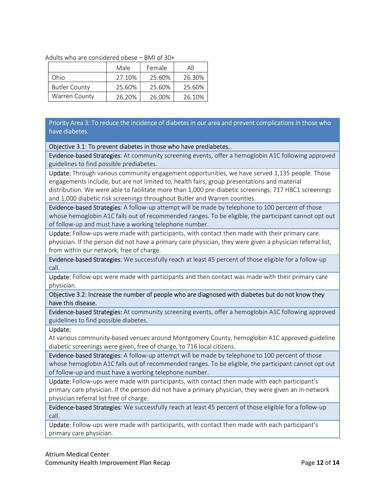| Adults who are considered obese – BMI of 30+ |  |  |  |
|----------------------------------------------|--|--|--|
|----------------------------------------------|--|--|--|

|                      | Male   | Female | All    |
|----------------------|--------|--------|--------|
| Ohio                 | 27.10% | 25.60% | 26.30% |
| <b>Butler County</b> | 25.60% | 25.60% | 25.60% |
| <b>Warren County</b> | 26.20% | 26.00% | 26.10% |

Priority Area 3: To reduce the incidence of diabetes in our area and prevent complications in those who have diabetes.

#### Objective 3.1: To prevent diabetes in those who have prediabetes.

Evidence-based Strategies: At community screening events, offer a hemoglobin A1C following approved guidelines to find possible prediabetes.

Update: Through various community engagement opportunities, we have served 1,135 people. Those engagements include, but are not limited to, health fairs, group presentations and material distribution. We were able to facilitate more than 1,000 pre-diabetic screenings, 717 HBC1 screenings and 1,000 diabetic risk screenings throughout Butler and Warren counties.

Evidence-based Strategies: A follow-up attempt will be made by telephone to 100 percent of those whose hemoglobin A1C falls out of recommended ranges. To be eligible, the participant cannot opt out of follow-up and must have a working telephone number.

Update: Follow-ups were made with participants, with contact then made with their primary care physician. If the person did not have a primary care physician, they were given a physician referral list, from within our network, free of charge.

Evidence-based Strategies: We successfully reach at least 45 percent of those eligible for a follow-up call.

Update: Follow-ups were made with participants and then contact was made with their primary care physician.

Objective 3.2: Increase the number of people who are diagnosed with diabetes but do not know they have this disease.

Evidence-based Strategies: At community screening events, offer a hemoglobin A1C following approved guidelines to find possible diabetes.

#### Update:

At various community-based venues around Montgomery County, hemoglobin A1C approved-guideline diabetic screenings were given, free of charge, to 716 local citizens.

Evidence-based Strategies: A follow-up attempt will be made by telephone to 100 percent of those whose hemoglobin A1C falls out of recommended ranges. To be eligible, the participant cannot opt out of follow-up and must have a working telephone number.

Update: Follow-ups were made with participants, with contact then made with each participant's primary care physician. If the person did not have a primary physician, they were given an in-network physician referral list free of charge.

Evidence-based Strategies: We successfully reach at least 45 percent of those eligible for a follow-up call.

Update: Follow-ups were made with participants, with contact then made with each participant's primary care physician.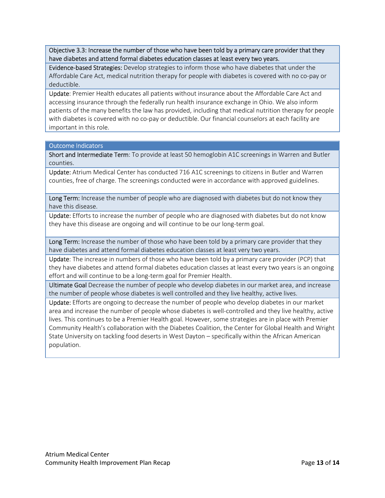Objective 3.3: Increase the number of those who have been told by a primary care provider that they have diabetes and attend formal diabetes education classes at least every two years.

Evidence-based Strategies: Develop strategies to inform those who have diabetes that under the Affordable Care Act, medical nutrition therapy for people with diabetes is covered with no co-pay or deductible.

Update: Premier Health educates all patients without insurance about the Affordable Care Act and accessing insurance through the federally run health insurance exchange in Ohio. We also inform patients of the many benefits the law has provided, including that medical nutrition therapy for people with diabetes is covered with no co-pay or deductible. Our financial counselors at each facility are important in this role.

#### Outcome Indicators

Short and Intermediate Term: To provide at least 50 hemoglobin A1C screenings in Warren and Butler counties.

Update: Atrium Medical Center has conducted 716 A1C screenings to citizens in Butler and Warren counties, free of charge. The screenings conducted were in accordance with approved guidelines.

Long Term: Increase the number of people who are diagnosed with diabetes but do not know they have this disease.

Update: Efforts to increase the number of people who are diagnosed with diabetes but do not know they have this disease are ongoing and will continue to be our long-term goal.

Long Term: Increase the number of those who have been told by a primary care provider that they have diabetes and attend formal diabetes education classes at least very two years.

Update: The increase in numbers of those who have been told by a primary care provider (PCP) that they have diabetes and attend formal diabetes education classes at least every two years is an ongoing effort and will continue to be a long-term goal for Premier Health.

Ultimate Goal Decrease the number of people who develop diabetes in our market area, and increase the number of people whose diabetes is well controlled and they live healthy, active lives.

Update: Efforts are ongoing to decrease the number of people who develop diabetes in our market area and increase the number of people whose diabetes is well-controlled and they live healthy, active lives. This continues to be a Premier Health goal. However, some strategies are in place with Premier Community Health's collaboration with the Diabetes Coalition, the Center for Global Health and Wright State University on tackling food deserts in West Dayton – specifically within the African American population.